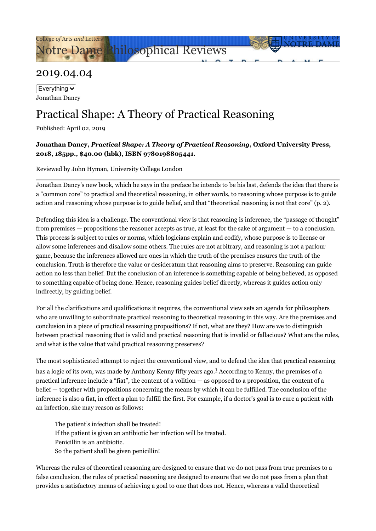[Notre Dame Philosophical Reviews](https://ndpr.nd.edu/)

## 2019.04.04

Everything  $\vee$ Jonathan Dancy

## Practical Shape: A Theory of Practical Reasoning

Published: April 02, 2019

## **Jonathan Dancy,** *Practical Shape: A Theory of Practical Reasoning***, Oxford University Press, 2018, 185pp., \$40.00 (hbk), ISBN 9780198805441.**

Reviewed by John Hyman, University College London

Jonathan Dancy's new book, which he says in the preface he intends to be his last, defends the idea that there is a "common core" to practical and theoretical reasoning, in other words, to reasoning whose purpose is to guide action and reasoning whose purpose is to guide belief, and that "theoretical reasoning is not that core" (p. 2).

Defending this idea is a challenge. The conventional view is that reasoning is inference, the "passage of thought" from premises — propositions the reasoner accepts as true, at least for the sake of argument — to a conclusion. This process is subject to rules or norms, which logicians explain and codify, whose purpose is to license or allow some inferences and disallow some others. The rules are not arbitrary, and reasoning is not a parlour game, because the inferences allowed are ones in which the truth of the premises ensures the truth of the conclusion. Truth is therefore the value or desideratum that reasoning aims to preserve. Reasoning can guide action no less than belief. But the conclusion of an inference is something capable of being believed, as opposed to something capable of being done. Hence, reasoning guides belief directly, whereas it guides action only indirectly, by guiding belief.

For all the clarifications and qualifications it requires, the conventional view sets an agenda for philosophers who are unwilling to subordinate practical reasoning to theoretical reasoning in this way. Are the premises and conclusion in a piece of practical reasoning propositions? If not, what are they? How are we to distinguish between practical reasoning that is valid and practical reasoning that is invalid or fallacious? What are the rules, and what is the value that valid practical reasoning preserves?

The most sophisticated attempt to reject the conventional view, and to defend the idea that practical reasoning

has a logic of its own, was made by Anthony Kenny fifty years ago.<sup>[1](#page-4-0)</sup> According to Kenny, the premises of a practical inference include a "fiat", the content of a volition — as opposed to a proposition, the content of a belief — together with propositions concerning the means by which it can be fulfilled. The conclusion of the inference is also a fiat, in effect a plan to fulfill the first. For example, if a doctor's goal is to cure a patient with an infection, she may reason as follows:

<span id="page-0-0"></span>The patient's infection shall be treated! If the patient is given an antibiotic her infection will be treated. Penicillin is an antibiotic. So the patient shall be given penicillin!

Whereas the rules of theoretical reasoning are designed to ensure that we do not pass from true premises to a false conclusion, the rules of practical reasoning are designed to ensure that we do not pass from a plan that provides a satisfactory means of achieving a goal to one that does not. Hence, whereas a valid theoretical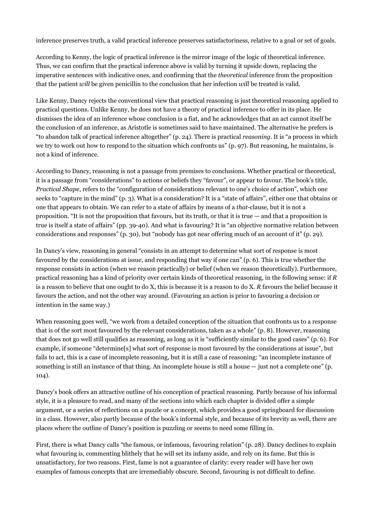inference preserves truth, a valid practical inference preserves satisfactoriness, relative to a goal or set of goals.

According to Kenny, the logic of practical inference is the mirror image of the logic of theoretical inference. Thus, we can confirm that the practical inference above is valid by turning it upside down, replacing the imperative sentences with indicative ones, and confirming that the *theoretical* inference from the proposition that the patient *will* be given penicillin to the conclusion that her infection *will* be treated is valid.

Like Kenny, Dancy rejects the conventional view that practical reasoning is just theoretical reasoning applied to practical questions. Unlike Kenny, he does not have a theory of practical inference to offer in its place. He dismisses the idea of an inference whose conclusion is a fiat, and he acknowledges that an act cannot itself be the conclusion of an inference, as Aristotle is sometimes said to have maintained. The alternative he prefers is "to abandon talk of practical inference altogether" (p. 24). There is practical *reasoning*. It is "a process in which we try to work out how to respond to the situation which confronts us" (p. 97). But reasoning, he maintains, is not a kind of inference.

According to Dancy, reasoning is not a passage from premises to conclusions. Whether practical or theoretical, it is a passage from "considerations" to actions or beliefs they "favour", or appear to favour. The book's title, *Practical Shape*, refers to the "configuration of considerations relevant to one's choice of action", which one seeks to "capture in the mind" (p. 3). What is a consideration? It is a "state of affairs", either one that obtains or one that appears to obtain. We can refer to a state of affairs by means of a *that*-clause, but it is not a proposition. "It is not the proposition that favours, but its truth, or that it is true — and that a proposition is true is itself a state of affairs" (pp. 39-40). And what is favouring? It is "an objective normative relation between considerations and responses" (p. 30), but "nobody has got near offering much of an account of it" (p. 29).

In Dancy's view, reasoning in general "consists in an attempt to determine what sort of response is most favoured by the considerations at issue, and responding that way if one can" (p. 6). This is true whether the response consists in action (when we reason practically) or belief (when we reason theoretically). Furthermore, practical reasoning has a kind of priority over certain kinds of theoretical reasoning, in the following sense: if *R* is a reason to believe that one ought to do X, this is because it is a reason to do X. *R* favours the belief because it favours the action, and not the other way around. (Favouring an action is prior to favouring a decision or intention in the same way.)

When reasoning goes well, "we work from a detailed conception of the situation that confronts us to a response that is of the sort most favoured by the relevant considerations, taken as a whole" (p. 8). However, reasoning that does not go well still qualifies as reasoning, as long as it is "sufficiently similar to the good cases" (p. 6). For example, if someone "determine[s] what sort of response is most favoured by the considerations at issue", but fails to act, this is a case of incomplete reasoning, but it is still a case of reasoning: "an incomplete instance of something is still an instance of that thing. An incomplete house is still a house — just not a complete one" (p. 104).

Dancy's book offers an attractive outline of his conception of practical reasoning. Partly because of his informal style, it is a pleasure to read, and many of the sections into which each chapter is divided offer a simple argument, or a series of reflections on a puzzle or a concept, which provides a good springboard for discussion in a class. However, also partly because of the book's informal style, and because of its brevity as well, there are places where the outline of Dancy's position is puzzling or seems to need some filling in.

First, there is what Dancy calls "the famous, or infamous, favouring relation" (p. 28). Dancy declines to explain what favouring is, commenting blithely that he will set its infamy aside, and rely on its fame. But this is unsatisfactory, for two reasons. First, fame is not a guarantee of clarity: every reader will have her own examples of famous concepts that are irremediably obscure. Second, favouring is not difficult to define.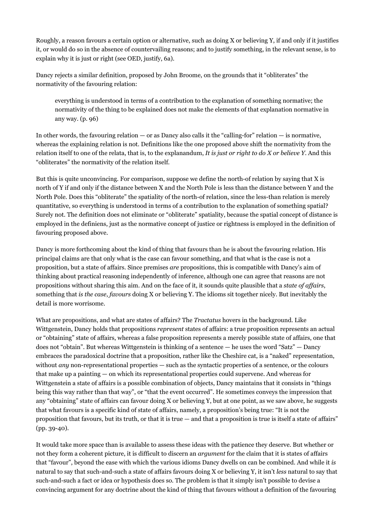Roughly, a reason favours a certain option or alternative, such as doing X or believing Y, if and only if it justifies it, or would do so in the absence of countervailing reasons; and to justify something, in the relevant sense, is to explain why it is just or right (see OED, justify, 6a).

Dancy rejects a similar definition, proposed by John Broome, on the grounds that it "obliterates" the normativity of the favouring relation:

everything is understood in terms of a contribution to the explanation of something normative; the normativity of the thing to be explained does not make the elements of that explanation normative in any way. (p. 96)

In other words, the favouring relation — or as Dancy also calls it the "calling-for" relation — is normative, whereas the explaining relation is not. Definitions like the one proposed above shift the normativity from the relation itself to one of the relata, that is, to the explanandum, *It is just or right to do X or believe Y*. And this "obliterates" the normativity of the relation itself.

But this is quite unconvincing. For comparison, suppose we define the north-of relation by saying that X is north of Y if and only if the distance between X and the North Pole is less than the distance between Y and the North Pole. Does this "obliterate" the spatiality of the north-of relation, since the less-than relation is merely quantitative, so everything is understood in terms of a contribution to the explanation of something spatial? Surely not. The definition does not eliminate or "obliterate" spatiality, because the spatial concept of distance is employed in the definiens, just as the normative concept of justice or rightness is employed in the definition of favouring proposed above.

Dancy is more forthcoming about the kind of thing that favours than he is about the favouring relation. His principal claims are that only what is the case can favour something, and that what is the case is not a proposition, but a state of affairs. Since premises *are* propositions, this is compatible with Dancy's aim of thinking about practical reasoning independently of inference, although one can agree that reasons are not propositions without sharing this aim. And on the face of it, it sounds quite plausible that a *state of affairs*, something that *is the case*, *favours* doing X or believing Y. The idioms sit together nicely. But inevitably the detail is more worrisome.

What are propositions, and what are states of affairs? The *Tractatus* hovers in the background. Like Wittgenstein, Dancy holds that propositions *represent* states of affairs: a true proposition represents an actual or "obtaining" state of affairs, whereas a false proposition represents a merely possible state of affairs, one that does not "obtain". But whereas Wittgenstein is thinking of a sentence — he uses the word "Satz" — Dancy embraces the paradoxical doctrine that a proposition, rather like the Cheshire cat, is a "naked" representation, without *any* non-representational properties — such as the syntactic properties of a sentence, or the colours that make up a painting — on which its representational properties could supervene. And whereas for Wittgenstein a state of affairs is a possible combination of objects, Dancy maintains that it consists in "things being this way rather than that way", or "that the event occurred". He sometimes conveys the impression that any "obtaining" state of affairs can favour doing X or believing Y, but at one point, as we saw above, he suggests that what favours is a specific kind of state of affairs, namely, a proposition's being true: "It is not the proposition that favours, but its truth, or that it is true — and that a proposition is true is itself a state of affairs" (pp. 39-40).

It would take more space than is available to assess these ideas with the patience they deserve. But whether or not they form a coherent picture, it is difficult to discern an *argument* for the claim that it is states of affairs that "favour", beyond the ease with which the various idioms Dancy dwells on can be combined. And while it *is* natural to say that such-and-such a state of affairs favours doing X or believing Y, it isn't *less* natural to say that such-and-such a fact or idea or hypothesis does so. The problem is that it simply isn't possible to devise a convincing argument for any doctrine about the kind of thing that favours without a definition of the favouring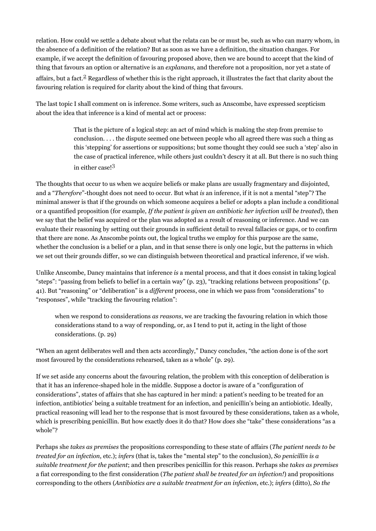relation. How could we settle a debate about what the relata can be or must be, such as who can marry whom, in the absence of a definition of the relation? But as soon as we have a definition, the situation changes. For example, if we accept the definition of favouring proposed above, then we are bound to accept that the kind of thing that favours an option or alternative is an *explanans*, and therefore not a proposition, nor yet a state of affairs, but a fact.[2](#page-4-1) Regardless of whether this is the right approach, it illustrates the fact that clarity about the favouring relation is required for clarity about the kind of thing that favours.

The last topic I shall comment on is inference. Some writers, such as Anscombe, have expressed scepticism about the idea that inference is a kind of mental act or process:

> <span id="page-3-1"></span><span id="page-3-0"></span>That is the picture of a logical step: an act of mind which is making the step from premise to conclusion. . . . the dispute seemed one between people who all agreed there was such a thing as this 'stepping' for assertions or suppositions; but some thought they could see such a 'step' also in the case of practical inference, while others just couldn't descry it at all. But there is no such thing in either case![3](#page-4-2)

The thoughts that occur to us when we acquire beliefs or make plans are usually fragmentary and disjointed, and a "*Therefore*"-thought does not need to occur. But what *is* an inference, if it is not a mental "step"? The minimal answer is that if the grounds on which someone acquires a belief or adopts a plan include a conditional or a quantified proposition (for example, *If the patient is given an antibiotic her infection will be treated*), then we say that the belief was acquired or the plan was adopted as a result of reasoning or inference. And we can evaluate their reasoning by setting out their grounds in sufficient detail to reveal fallacies or gaps, or to confirm that there are none. As Anscombe points out, the logical truths we employ for this purpose are the same, whether the conclusion is a belief or a plan, and in that sense there is only one logic, but the patterns in which we set out their grounds differ, so we can distinguish between theoretical and practical inference, if we wish.

Unlike Anscombe, Dancy maintains that inference *is* a mental process, and that it does consist in taking logical "steps": "passing from beliefs to belief in a certain way" (p. 23), "tracking relations between propositions" (p. 41). But "reasoning" or "deliberation" is a *different* process, one in which we pass from "considerations" to "responses", while "tracking the favouring relation":

when we respond to considerations *as reasons*, we are tracking the favouring relation in which those considerations stand to a way of responding, or, as I tend to put it, acting in the light of those considerations. (p. 29)

"When an agent deliberates well and then acts accordingly," Dancy concludes, "the action done is of the sort most favoured by the considerations rehearsed, taken as a whole" (p. 29).

If we set aside any concerns about the favouring relation, the problem with this conception of deliberation is that it has an inference-shaped hole in the middle. Suppose a doctor is aware of a "configuration of considerations", states of affairs that she has captured in her mind: a patient's needing to be treated for an infection, antibiotics' being a suitable treatment for an infection, and penicillin's being an antiobiotic. Ideally, practical reasoning will lead her to the response that is most favoured by these considerations, taken as a whole, which is prescribing penicillin. But how exactly does it do that? How *does* she "take" these considerations "as a whole"?

Perhaps she *takes as premises* the propositions corresponding to these state of affairs (*The patient needs to be treated for an infection*, etc.); *infers* (that is, takes the "mental step" to the conclusion), *So penicillin is a suitable treatment for the patient*; and then prescribes penicillin for this reason. Perhaps she *takes as premises* a fiat corresponding to the first consideration (*The patient shall be treated for an infection!*) and propositions corresponding to the others (*Antibiotics are a suitable treatment for an infection*, etc.); *infers* (ditto), *So the*